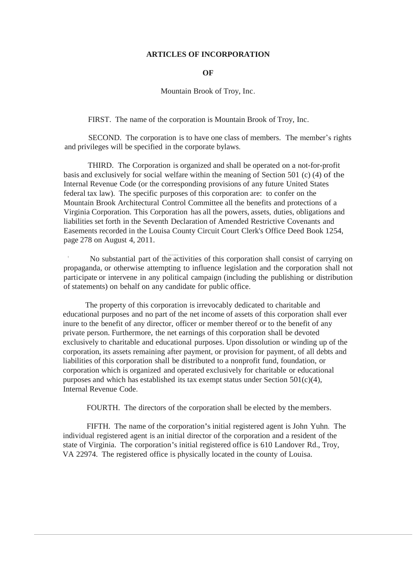## **ARTICLES OF INCORPORATION**

## **OF**

Mountain Brook of Troy, Inc.

FIRST. The name of the corporation is Mountain Brook of Troy, Inc.

SECOND. The corporation is to have one class of members. The member's rights and privileges will be specified in the corporate bylaws.

THIRD. The Corporation is organized and shall be operated on a not-for-profit basis and exclusively for social welfare within the meaning of Section 501 (c) (4) of the Internal Revenue Code (or the corresponding provisions of any future United States federal tax law). The specific purposes of this corporation are: to confer on the Mountain Brook Architectural Control Committee all the benefits and protections of a Virginia Corporation. This Corporation has all the powers, assets, duties, obligations and liabilities set forth in the Seventh Declaration of Amended Restrictive Covenants and Easements recorded in the Louisa County Circuit Court Clerk's Office Deed Book 1254, page 278 on August 4, 2011.

No substantial part of the activities of this corporation shall consist of carrying on propaganda, or otherwise attempting to influence legislation and the corporation shall not participate or intervene in any political campaign (including the publishing or distribution of statements) on behalf on any candidate for public office.

The property of this corporation is irrevocably dedicated to charitable and educational purposes and no part of the net income of assets of this corporation shall ever inure to the benefit of any director, officer or member thereof or to the benefit of any private person. Furthermore, the net earnings of this corporation shall be devoted exclusively to charitable and educational purposes. Upon dissolution or winding up of the corporation, its assets remaining after payment, or provision for payment, of all debts and liabilities of this corporation shall be distributed to a nonprofit fund, foundation, or corporation which is organized and operated exclusively for charitable or educational purposes and which has established its tax exempt status under Section  $501(c)(4)$ , Internal Revenue Code.

FOURTH. The directors of the corporation shall be elected by the members.

FIFTH. The name of the corporation's initial registered agent is John Yuhn. The individual registered agent is an initial director of the corporation and a resident of the state of Virginia. The corporation's initial registered office is 610 Landover Rd., Troy, VA 22974. The registered office is physically located in the county of Louisa.